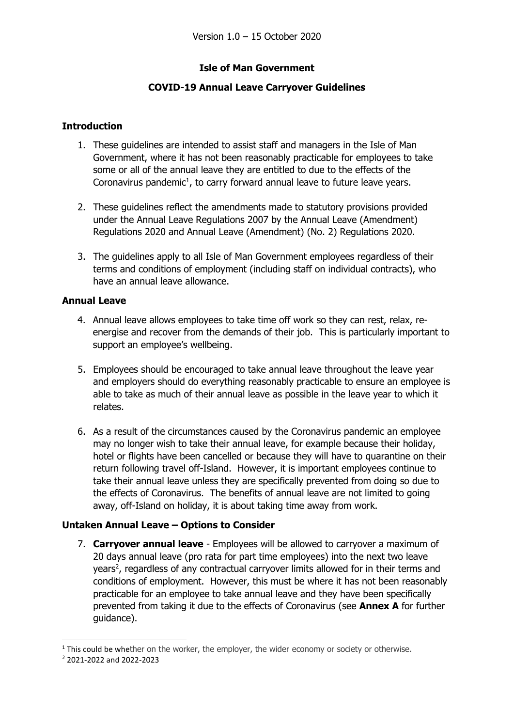## **Isle of Man Government**

## **COVID-19 Annual Leave Carryover Guidelines**

### **Introduction**

- 1. These guidelines are intended to assist staff and managers in the Isle of Man Government, where it has not been reasonably practicable for employees to take some or all of the annual leave they are entitled to due to the effects of the Coronavirus pandemic<sup>1</sup>, to carry forward annual leave to future leave years.
- 2. These guidelines reflect the amendments made to statutory provisions provided under the Annual Leave Regulations 2007 by the Annual Leave (Amendment) Regulations 2020 and Annual Leave (Amendment) (No. 2) Regulations 2020.
- 3. The guidelines apply to all Isle of Man Government employees regardless of their terms and conditions of employment (including staff on individual contracts), who have an annual leave allowance.

### **Annual Leave**

- 4. Annual leave allows employees to take time off work so they can rest, relax, reenergise and recover from the demands of their job. This is particularly important to support an employee's wellbeing.
- 5. Employees should be encouraged to take annual leave throughout the leave year and employers should do everything reasonably practicable to ensure an employee is able to take as much of their annual leave as possible in the leave year to which it relates.
- 6. As a result of the circumstances caused by the Coronavirus pandemic an employee may no longer wish to take their annual leave, for example because their holiday, hotel or flights have been cancelled or because they will have to quarantine on their return following travel off-Island. However, it is important employees continue to take their annual leave unless they are specifically prevented from doing so due to the effects of Coronavirus. The benefits of annual leave are not limited to going away, off-Island on holiday, it is about taking time away from work.

### **Untaken Annual Leave – Options to Consider**

7. **Carryover annual leave** - Employees will be allowed to carryover a maximum of 20 days annual leave (pro rata for part time employees) into the next two leave years<sup>2</sup>, regardless of any contractual carryover limits allowed for in their terms and conditions of employment. However, this must be where it has not been reasonably practicable for an employee to take annual leave and they have been specifically prevented from taking it due to the effects of Coronavirus (see **Annex A** for further guidance).

1

<sup>&</sup>lt;sup>1</sup> This could be whether on the worker, the employer, the wider economy or society or otherwise.

<sup>2</sup> 2021-2022 and 2022-2023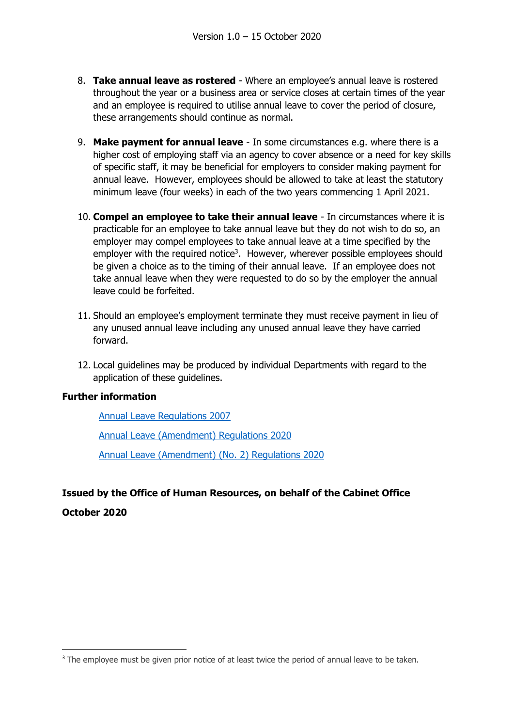- 8. **Take annual leave as rostered** Where an employee's annual leave is rostered throughout the year or a business area or service closes at certain times of the year and an employee is required to utilise annual leave to cover the period of closure, these arrangements should continue as normal.
- 9. **Make payment for annual leave** In some circumstances e.g. where there is a higher cost of employing staff via an agency to cover absence or a need for key skills of specific staff, it may be beneficial for employers to consider making payment for annual leave. However, employees should be allowed to take at least the statutory minimum leave (four weeks) in each of the two years commencing 1 April 2021.
- 10. **Compel an employee to take their annual leave** In circumstances where it is practicable for an employee to take annual leave but they do not wish to do so, an employer may compel employees to take annual leave at a time specified by the employer with the required notice<sup>3</sup>. However, wherever possible employees should be given a choice as to the timing of their annual leave. If an employee does not take annual leave when they were requested to do so by the employer the annual leave could be forfeited.
- 11. Should an employee's employment terminate they must receive payment in lieu of any unused annual leave including any unused annual leave they have carried forward.
- 12. Local guidelines may be produced by individual Departments with regard to the application of these guidelines.

### **Further information**

[Annual Leave Regulations 2007](https://www.tynwald.org.im/links/tls/SD/2007/2007-SD-0102.pdf)

[Annual Leave \(Amendment\) Regulations 2020](https://www.tynwald.org.im/links/tls/SD/2020/2020-SD-0300.pdf)

[Annual Leave \(Amendment\) \(No. 2\) Regulations 2020](https://www.gov.im/media/1369851/annualleave-amendment-no2-regulations2020.pdf)

# **Issued by the Office of Human Resources, on behalf of the Cabinet Office**

**October 2020**

**.** 

<sup>&</sup>lt;sup>3</sup> The employee must be given prior notice of at least twice the period of annual leave to be taken.